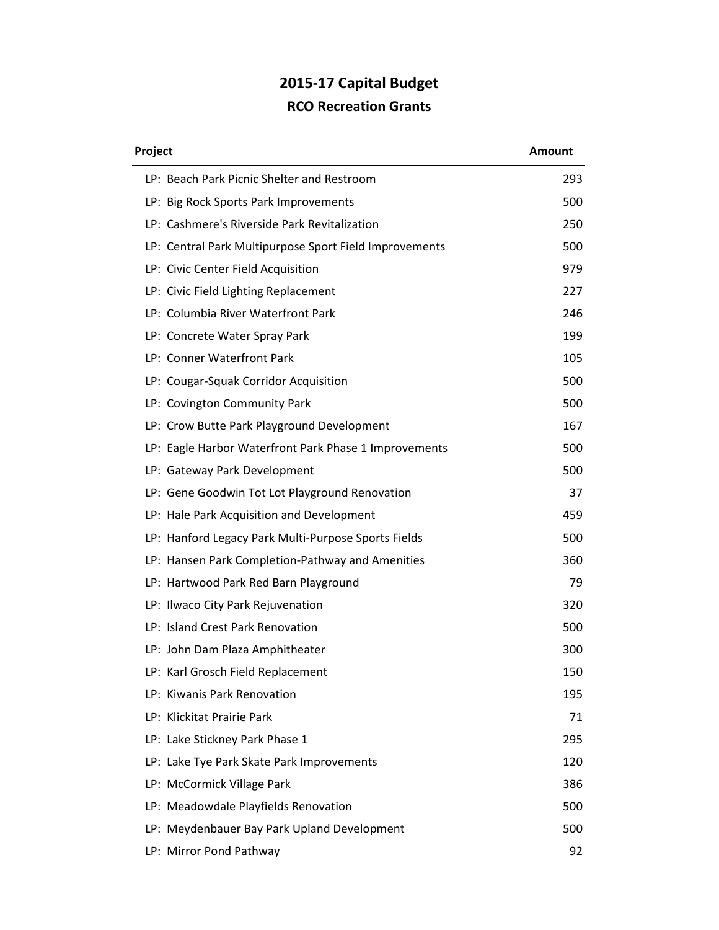## **2015-17 Capital Budget RCO Recreation Grants**

| Project                                                | <b>Amount</b> |
|--------------------------------------------------------|---------------|
| LP: Beach Park Picnic Shelter and Restroom             | 293           |
| LP: Big Rock Sports Park Improvements                  | 500           |
| LP: Cashmere's Riverside Park Revitalization           | 250           |
| LP: Central Park Multipurpose Sport Field Improvements | 500           |
| LP: Civic Center Field Acquisition                     | 979           |
| LP: Civic Field Lighting Replacement                   | 227           |
| LP: Columbia River Waterfront Park                     | 246           |
| LP: Concrete Water Spray Park                          | 199           |
| LP: Conner Waterfront Park                             | 105           |
| LP: Cougar-Squak Corridor Acquisition                  | 500           |
| LP: Covington Community Park                           | 500           |
| LP: Crow Butte Park Playground Development             | 167           |
| LP: Eagle Harbor Waterfront Park Phase 1 Improvements  | 500           |
| LP: Gateway Park Development                           | 500           |
| LP: Gene Goodwin Tot Lot Playground Renovation         | 37            |
| LP: Hale Park Acquisition and Development              | 459           |
| LP: Hanford Legacy Park Multi-Purpose Sports Fields    | 500           |
| LP: Hansen Park Completion-Pathway and Amenities       | 360           |
| LP: Hartwood Park Red Barn Playground                  | 79            |
| LP: Ilwaco City Park Rejuvenation                      | 320           |
| LP: Island Crest Park Renovation                       | 500           |
| LP: John Dam Plaza Amphitheater                        | 300           |
| LP: Karl Grosch Field Replacement                      | 150           |
| LP: Kiwanis Park Renovation                            | 195           |
| LP: Klickitat Prairie Park                             | 71            |
| LP: Lake Stickney Park Phase 1                         | 295           |
| LP: Lake Tye Park Skate Park Improvements              | 120           |
| LP: McCormick Village Park                             | 386           |
| LP: Meadowdale Playfields Renovation                   | 500           |
| LP: Meydenbauer Bay Park Upland Development            | 500           |
| LP: Mirror Pond Pathway                                | 92            |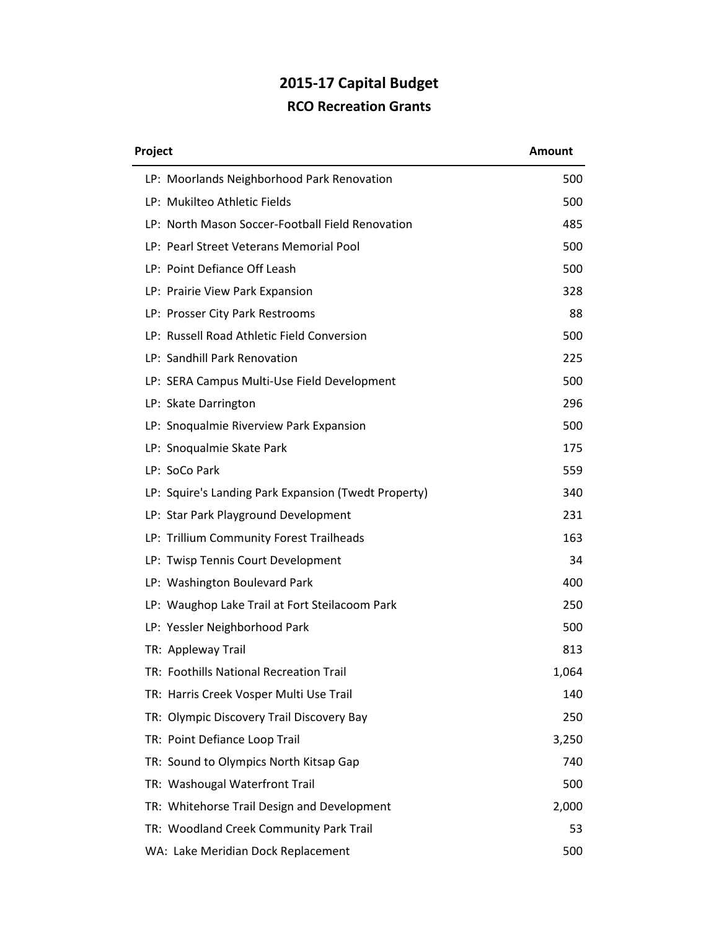## **2015-17 Capital Budget RCO Recreation Grants**

| Project                                              | <b>Amount</b> |
|------------------------------------------------------|---------------|
| LP: Moorlands Neighborhood Park Renovation           | 500           |
| LP: Mukilteo Athletic Fields                         | 500           |
| LP: North Mason Soccer-Football Field Renovation     | 485           |
| LP: Pearl Street Veterans Memorial Pool              | 500           |
| LP: Point Defiance Off Leash                         | 500           |
| LP: Prairie View Park Expansion                      | 328           |
| LP: Prosser City Park Restrooms                      | 88            |
| LP: Russell Road Athletic Field Conversion           | 500           |
| LP: Sandhill Park Renovation                         | 225           |
| LP: SERA Campus Multi-Use Field Development          | 500           |
| LP: Skate Darrington                                 | 296           |
| LP: Snoqualmie Riverview Park Expansion              | 500           |
| LP: Snoqualmie Skate Park                            | 175           |
| LP: SoCo Park                                        | 559           |
| LP: Squire's Landing Park Expansion (Twedt Property) | 340           |
| LP: Star Park Playground Development                 | 231           |
| LP: Trillium Community Forest Trailheads             | 163           |
| LP: Twisp Tennis Court Development                   | 34            |
| LP: Washington Boulevard Park                        | 400           |
| LP: Waughop Lake Trail at Fort Steilacoom Park       | 250           |
| LP: Yessler Neighborhood Park                        | 500           |
| TR: Appleway Trail                                   | 813           |
| TR: Foothills National Recreation Trail              | 1,064         |
| TR: Harris Creek Vosper Multi Use Trail              | 140           |
| TR: Olympic Discovery Trail Discovery Bay            | 250           |
| TR: Point Defiance Loop Trail                        | 3,250         |
| TR: Sound to Olympics North Kitsap Gap               | 740           |
| TR: Washougal Waterfront Trail                       | 500           |
| TR: Whitehorse Trail Design and Development          | 2,000         |
| TR: Woodland Creek Community Park Trail              | 53            |
| WA: Lake Meridian Dock Replacement                   | 500           |